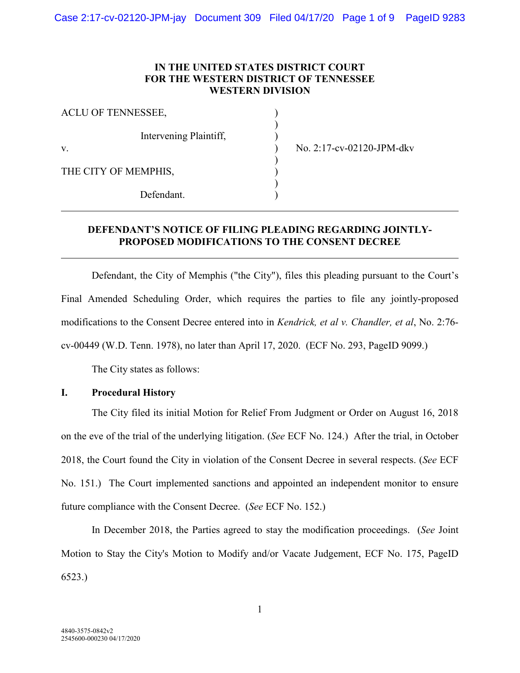## **IN THE UNITED STATES DISTRICT COURT FOR THE WESTERN DISTRICT OF TENNESSEE WESTERN DIVISION**

)

)

) ) )

| ACLU OF TENNESSEE,     |  |
|------------------------|--|
| Intervening Plaintiff, |  |
| V.                     |  |
| THE CITY OF MEMPHIS,   |  |
| Defendant.             |  |

) No. 2:17-cv-02120-JPM-dkv

### **DEFENDANT'S NOTICE OF FILING PLEADING REGARDING JOINTLY-PROPOSED MODIFICATIONS TO THE CONSENT DECREE**

Defendant, the City of Memphis ("the City"), files this pleading pursuant to the Court's Final Amended Scheduling Order, which requires the parties to file any jointly-proposed modifications to the Consent Decree entered into in *Kendrick, et al v. Chandler, et al*, No. 2:76 cv-00449 (W.D. Tenn. 1978), no later than April 17, 2020. (ECF No. 293, PageID 9099.)

The City states as follows:

# **I. Procedural History**

The City filed its initial Motion for Relief From Judgment or Order on August 16, 2018 on the eve of the trial of the underlying litigation. (*See* ECF No. 124.) After the trial, in October 2018, the Court found the City in violation of the Consent Decree in several respects. (*See* ECF No. 151.) The Court implemented sanctions and appointed an independent monitor to ensure future compliance with the Consent Decree. (*See* ECF No. 152.)

In December 2018, the Parties agreed to stay the modification proceedings. (*See* Joint Motion to Stay the City's Motion to Modify and/or Vacate Judgement, ECF No. 175, PageID 6523.)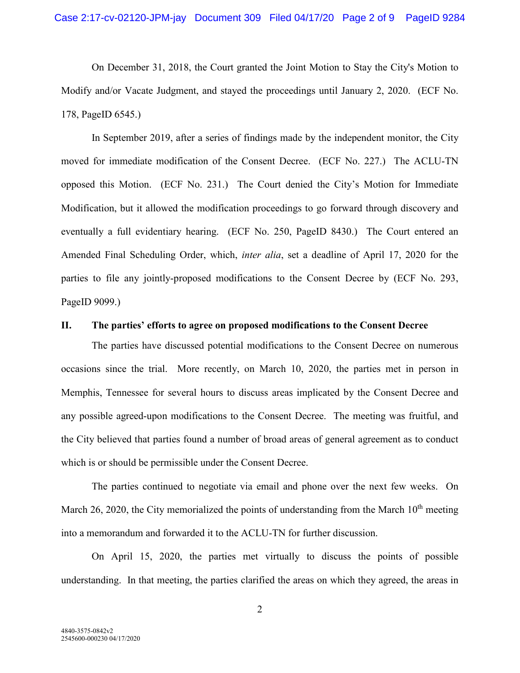On December 31, 2018, the Court granted the Joint Motion to Stay the City's Motion to Modify and/or Vacate Judgment, and stayed the proceedings until January 2, 2020. (ECF No. 178, PageID 6545.)

In September 2019, after a series of findings made by the independent monitor, the City moved for immediate modification of the Consent Decree. (ECF No. 227.) The ACLU-TN opposed this Motion. (ECF No. 231.) The Court denied the City's Motion for Immediate Modification, but it allowed the modification proceedings to go forward through discovery and eventually a full evidentiary hearing. (ECF No. 250, PageID 8430.) The Court entered an Amended Final Scheduling Order, which, *inter alia*, set a deadline of April 17, 2020 for the parties to file any jointly-proposed modifications to the Consent Decree by (ECF No. 293, PageID 9099.)

#### **II. The parties' efforts to agree on proposed modifications to the Consent Decree**

The parties have discussed potential modifications to the Consent Decree on numerous occasions since the trial. More recently, on March 10, 2020, the parties met in person in Memphis, Tennessee for several hours to discuss areas implicated by the Consent Decree and any possible agreed-upon modifications to the Consent Decree. The meeting was fruitful, and the City believed that parties found a number of broad areas of general agreement as to conduct which is or should be permissible under the Consent Decree.

The parties continued to negotiate via email and phone over the next few weeks. On March 26, 2020, the City memorialized the points of understanding from the March  $10<sup>th</sup>$  meeting into a memorandum and forwarded it to the ACLU-TN for further discussion.

On April 15, 2020, the parties met virtually to discuss the points of possible understanding. In that meeting, the parties clarified the areas on which they agreed, the areas in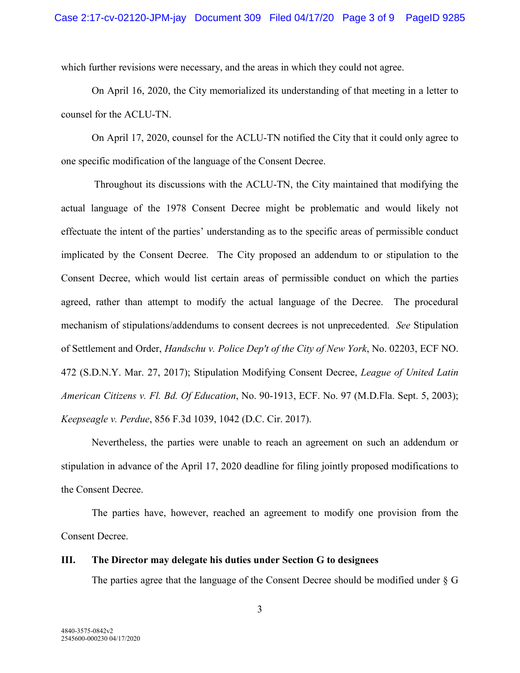which further revisions were necessary, and the areas in which they could not agree.

On April 16, 2020, the City memorialized its understanding of that meeting in a letter to counsel for the ACLU-TN.

On April 17, 2020, counsel for the ACLU-TN notified the City that it could only agree to one specific modification of the language of the Consent Decree.

Throughout its discussions with the ACLU-TN, the City maintained that modifying the actual language of the 1978 Consent Decree might be problematic and would likely not effectuate the intent of the parties' understanding as to the specific areas of permissible conduct implicated by the Consent Decree. The City proposed an addendum to or stipulation to the Consent Decree, which would list certain areas of permissible conduct on which the parties agreed, rather than attempt to modify the actual language of the Decree. The procedural mechanism of stipulations/addendums to consent decrees is not unprecedented. *See* Stipulation of Settlement and Order, *Handschu v. Police Dep't of the City of New York*, No. 02203, ECF NO. 472 (S.D.N.Y. Mar. 27, 2017); Stipulation Modifying Consent Decree, *League of United Latin American Citizens v. Fl. Bd. Of Education*, No. 90-1913, ECF. No. 97 (M.D.Fla. Sept. 5, 2003); *Keepseagle v. Perdue*, 856 F.3d 1039, 1042 (D.C. Cir. 2017).

Nevertheless, the parties were unable to reach an agreement on such an addendum or stipulation in advance of the April 17, 2020 deadline for filing jointly proposed modifications to the Consent Decree.

The parties have, however, reached an agreement to modify one provision from the Consent Decree.

### **III. The Director may delegate his duties under Section G to designees**

The parties agree that the language of the Consent Decree should be modified under § G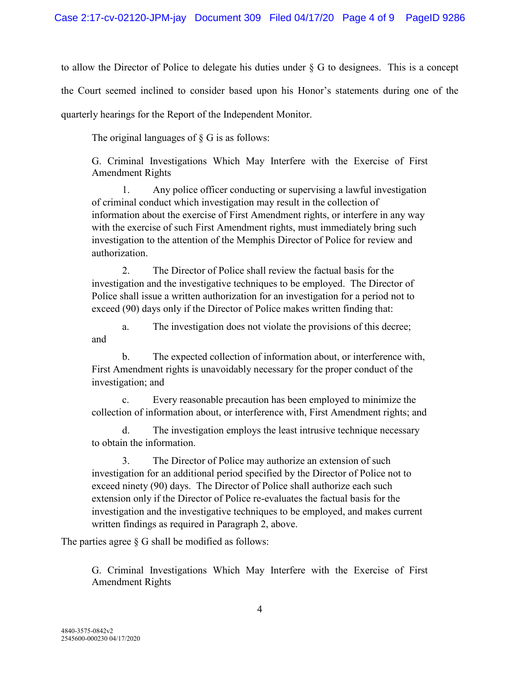to allow the Director of Police to delegate his duties under § G to designees. This is a concept the Court seemed inclined to consider based upon his Honor's statements during one of the quarterly hearings for the Report of the Independent Monitor.

The original languages of  $\S$  G is as follows:

G. Criminal Investigations Which May Interfere with the Exercise of First Amendment Rights

1. Any police officer conducting or supervising a lawful investigation of criminal conduct which investigation may result in the collection of information about the exercise of First Amendment rights, or interfere in any way with the exercise of such First Amendment rights, must immediately bring such investigation to the attention of the Memphis Director of Police for review and authorization.

2. The Director of Police shall review the factual basis for the investigation and the investigative techniques to be employed. The Director of Police shall issue a written authorization for an investigation for a period not to exceed (90) days only if the Director of Police makes written finding that:

a. The investigation does not violate the provisions of this decree; and

b. The expected collection of information about, or interference with, First Amendment rights is unavoidably necessary for the proper conduct of the investigation; and

c. Every reasonable precaution has been employed to minimize the collection of information about, or interference with, First Amendment rights; and

d. The investigation employs the least intrusive technique necessary to obtain the information.

3. The Director of Police may authorize an extension of such investigation for an additional period specified by the Director of Police not to exceed ninety (90) days. The Director of Police shall authorize each such extension only if the Director of Police re-evaluates the factual basis for the investigation and the investigative techniques to be employed, and makes current written findings as required in Paragraph 2, above.

The parties agree  $\S$  G shall be modified as follows:

G. Criminal Investigations Which May Interfere with the Exercise of First Amendment Rights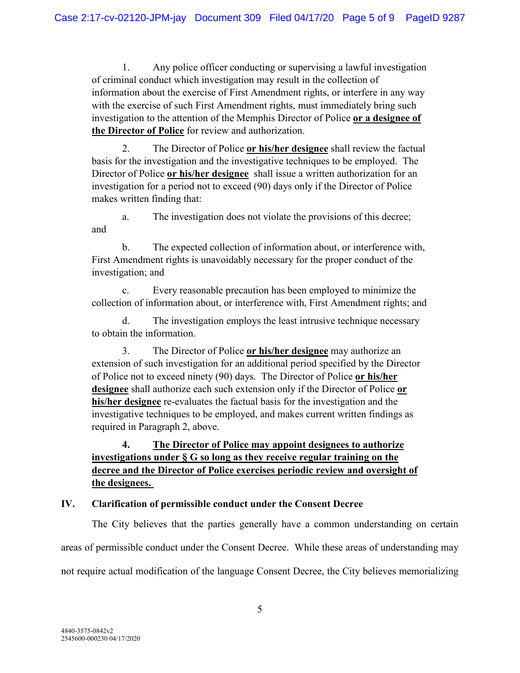1. Any police officer conducting or supervising a lawful investigation of criminal conduct which investigation may result in the collection of information about the exercise of First Amendment rights, or interfere in any way with the exercise of such First Amendment rights, must immediately bring such investigation to the attention of the Memphis Director of Police **or a designee of the Director of Police** for review and authorization.

2. The Director of Police **or his/her designee** shall review the factual basis for the investigation and the investigative techniques to be employed. The Director of Police **or his/her designee** shall issue a written authorization for an investigation for a period not to exceed (90) days only if the Director of Police makes written finding that:

a. The investigation does not violate the provisions of this decree; and

b. The expected collection of information about, or interference with, First Amendment rights is unavoidably necessary for the proper conduct of the investigation; and

c. Every reasonable precaution has been employed to minimize the collection of information about, or interference with, First Amendment rights; and

d. The investigation employs the least intrusive technique necessary to obtain the information.

3. The Director of Police **or his/her designee** may authorize an extension of such investigation for an additional period specified by the Director of Police not to exceed ninety (90) days. The Director of Police **or his/her designee** shall authorize each such extension only if the Director of Police **or his/her designee** re-evaluates the factual basis for the investigation and the investigative techniques to be employed, and makes current written findings as required in Paragraph 2, above.

**4. The Director of Police may appoint designees to authorize investigations under § G so long as they receive regular training on the decree and the Director of Police exercises periodic review and oversight of the designees.**

# **IV. Clarification of permissible conduct under the Consent Decree**

The City believes that the parties generally have a common understanding on certain areas of permissible conduct under the Consent Decree. While these areas of understanding may not require actual modification of the language Consent Decree, the City believes memorializing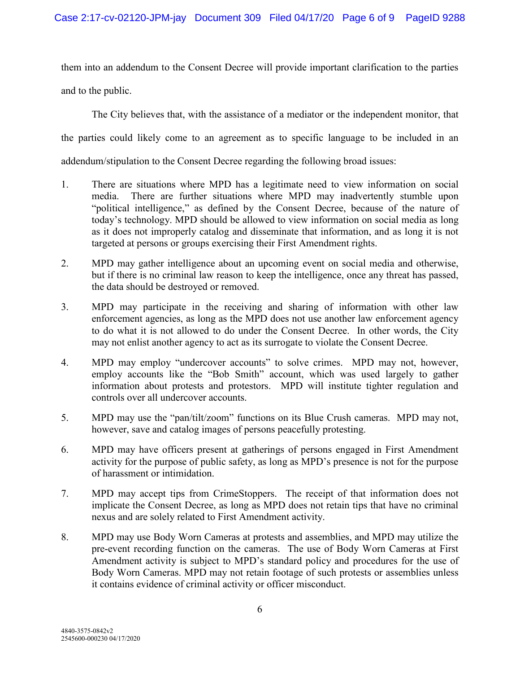them into an addendum to the Consent Decree will provide important clarification to the parties and to the public.

The City believes that, with the assistance of a mediator or the independent monitor, that the parties could likely come to an agreement as to specific language to be included in an addendum/stipulation to the Consent Decree regarding the following broad issues:

- 1. There are situations where MPD has a legitimate need to view information on social media. There are further situations where MPD may inadvertently stumble upon "political intelligence," as defined by the Consent Decree, because of the nature of today's technology. MPD should be allowed to view information on social media as long as it does not improperly catalog and disseminate that information, and as long it is not targeted at persons or groups exercising their First Amendment rights.
- 2. MPD may gather intelligence about an upcoming event on social media and otherwise, but if there is no criminal law reason to keep the intelligence, once any threat has passed, the data should be destroyed or removed.
- 3. MPD may participate in the receiving and sharing of information with other law enforcement agencies, as long as the MPD does not use another law enforcement agency to do what it is not allowed to do under the Consent Decree. In other words, the City may not enlist another agency to act as its surrogate to violate the Consent Decree.
- 4. MPD may employ "undercover accounts" to solve crimes. MPD may not, however, employ accounts like the "Bob Smith" account, which was used largely to gather information about protests and protestors. MPD will institute tighter regulation and controls over all undercover accounts.
- 5. MPD may use the "pan/tilt/zoom" functions on its Blue Crush cameras. MPD may not, however, save and catalog images of persons peacefully protesting.
- 6. MPD may have officers present at gatherings of persons engaged in First Amendment activity for the purpose of public safety, as long as MPD's presence is not for the purpose of harassment or intimidation.
- 7. MPD may accept tips from CrimeStoppers. The receipt of that information does not implicate the Consent Decree, as long as MPD does not retain tips that have no criminal nexus and are solely related to First Amendment activity.
- 8. MPD may use Body Worn Cameras at protests and assemblies, and MPD may utilize the pre-event recording function on the cameras. The use of Body Worn Cameras at First Amendment activity is subject to MPD's standard policy and procedures for the use of Body Worn Cameras. MPD may not retain footage of such protests or assemblies unless it contains evidence of criminal activity or officer misconduct.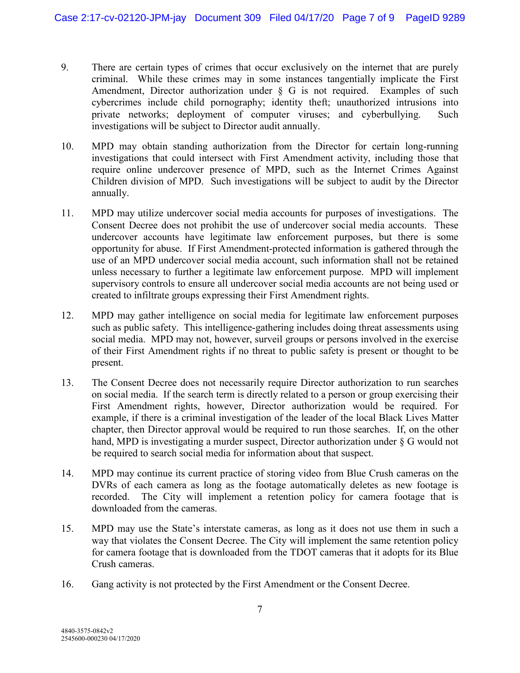- 9. There are certain types of crimes that occur exclusively on the internet that are purely criminal. While these crimes may in some instances tangentially implicate the First Amendment, Director authorization under § G is not required. Examples of such cybercrimes include child pornography; identity theft; unauthorized intrusions into private networks; deployment of computer viruses; and cyberbullying. Such investigations will be subject to Director audit annually.
- 10. MPD may obtain standing authorization from the Director for certain long-running investigations that could intersect with First Amendment activity, including those that require online undercover presence of MPD, such as the Internet Crimes Against Children division of MPD. Such investigations will be subject to audit by the Director annually.
- 11. MPD may utilize undercover social media accounts for purposes of investigations. The Consent Decree does not prohibit the use of undercover social media accounts. These undercover accounts have legitimate law enforcement purposes, but there is some opportunity for abuse. If First Amendment-protected information is gathered through the use of an MPD undercover social media account, such information shall not be retained unless necessary to further a legitimate law enforcement purpose. MPD will implement supervisory controls to ensure all undercover social media accounts are not being used or created to infiltrate groups expressing their First Amendment rights.
- 12. MPD may gather intelligence on social media for legitimate law enforcement purposes such as public safety. This intelligence-gathering includes doing threat assessments using social media. MPD may not, however, surveil groups or persons involved in the exercise of their First Amendment rights if no threat to public safety is present or thought to be present.
- 13. The Consent Decree does not necessarily require Director authorization to run searches on social media. If the search term is directly related to a person or group exercising their First Amendment rights, however, Director authorization would be required. For example, if there is a criminal investigation of the leader of the local Black Lives Matter chapter, then Director approval would be required to run those searches. If, on the other hand, MPD is investigating a murder suspect, Director authorization under § G would not be required to search social media for information about that suspect.
- 14. MPD may continue its current practice of storing video from Blue Crush cameras on the DVRs of each camera as long as the footage automatically deletes as new footage is recorded. The City will implement a retention policy for camera footage that is downloaded from the cameras.
- 15. MPD may use the State's interstate cameras, as long as it does not use them in such a way that violates the Consent Decree. The City will implement the same retention policy for camera footage that is downloaded from the TDOT cameras that it adopts for its Blue Crush cameras.
- 16. Gang activity is not protected by the First Amendment or the Consent Decree.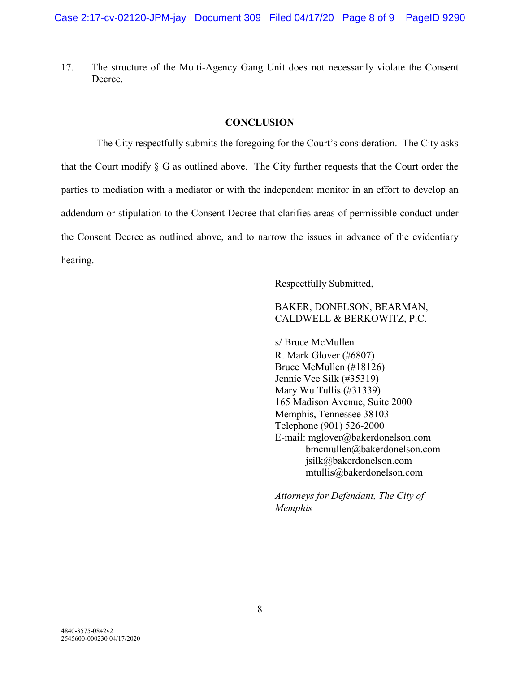17. The structure of the Multi-Agency Gang Unit does not necessarily violate the Consent Decree.

#### **CONCLUSION**

 The City respectfully submits the foregoing for the Court's consideration. The City asks that the Court modify § G as outlined above. The City further requests that the Court order the parties to mediation with a mediator or with the independent monitor in an effort to develop an addendum or stipulation to the Consent Decree that clarifies areas of permissible conduct under the Consent Decree as outlined above, and to narrow the issues in advance of the evidentiary hearing.

Respectfully Submitted,

BAKER, DONELSON, BEARMAN, CALDWELL & BERKOWITZ, P.C.

s/ Bruce McMullen

R. Mark Glover (#6807) Bruce McMullen (#18126) Jennie Vee Silk (#35319) Mary Wu Tullis (#31339) 165 Madison Avenue, Suite 2000 Memphis, Tennessee 38103 Telephone (901) 526-2000 E-mail: mglover@bakerdonelson.com bmcmullen@bakerdonelson.com jsilk@bakerdonelson.com mtullis@bakerdonelson.com

*Attorneys for Defendant, The City of Memphis*